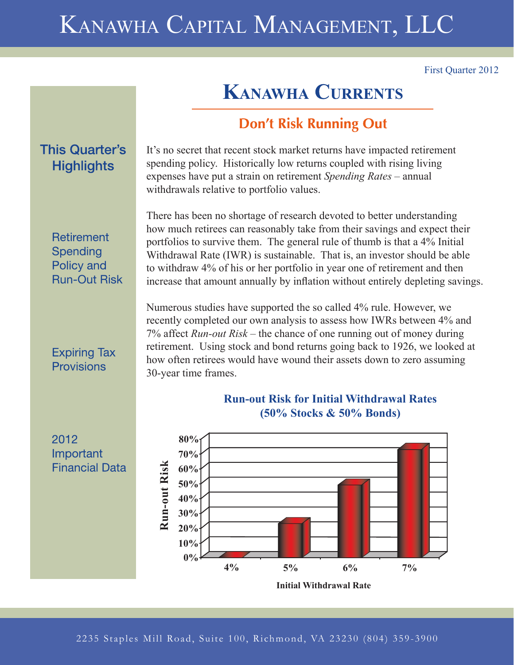# KANAWHA CAPITAL MANAGEMENT, LLC

withdrawals relative to portfolio values.

First Quarter 2012

## **KANAWHA CURRENTS**

## **Don't Risk Running Out**

It's no secret that recent stock market returns have impacted retirement spending policy. Historically low returns coupled with rising living expenses have put a strain on retirement *Spending Rates* – annual

## **This Quarter's Highlights**

**Retirement** Spending Policy and **Run-Out Risk** 

### **Expiring Tax** Provisions

2012 Important **Financial Data** 

There has been no shortage of research devoted to better understanding how much retirees can reasonably take from their savings and expect their portfolios to survive them. The general rule of thumb is that a 4% Initial Withdrawal Rate (IWR) is sustainable. That is, an investor should be able to withdraw 4% of his or her portfolio in year one of retirement and then increase that amount annually by inflation without entirely depleting savings.

Numerous studies have supported the so called 4% rule. However, we recently completed our own analysis to assess how IWRs between 4% and 7% affect *Run-out Risk* – the chance of one running out of money during retirement. Using stock and bond returns going back to 1926, we looked at how often retirees would have wound their assets down to zero assuming 30-year time frames.



## **Run-out Risk for Initial Withdrawal Rates (50% Stocks & 50% Bonds)**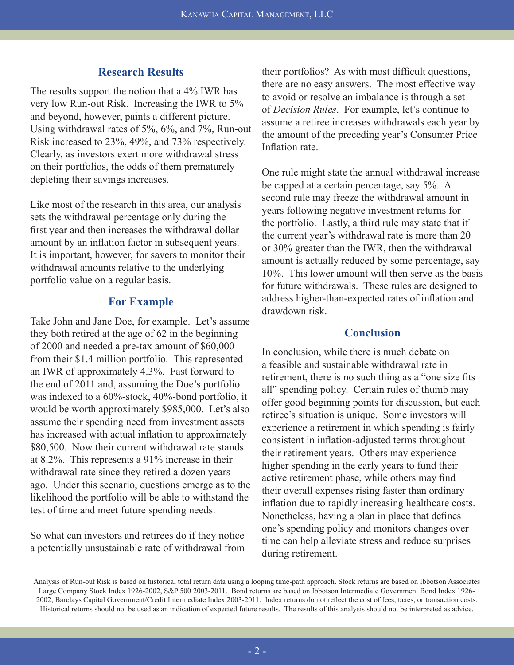#### **Research Results**

The results support the notion that a 4% IWR has very low Run-out Risk. Increasing the IWR to 5% and beyond, however, paints a different picture. Using withdrawal rates of 5%, 6%, and 7%, Run-out Risk increased to 23%, 49%, and 73% respectively. Clearly, as investors exert more withdrawal stress on their portfolios, the odds of them prematurely depleting their savings increases.

Like most of the research in this area, our analysis sets the withdrawal percentage only during the first year and then increases the withdrawal dollar amount by an inflation factor in subsequent years. It is important, however, for savers to monitor their withdrawal amounts relative to the underlying portfolio value on a regular basis.

#### **For Example**

Take John and Jane Doe, for example. Let's assume they both retired at the age of 62 in the beginning of 2000 and needed a pre-tax amount of \$60,000 from their \$1.4 million portfolio. This represented an IWR of approximately 4.3%. Fast forward to the end of 2011 and, assuming the Doe's portfolio was indexed to a 60%-stock, 40%-bond portfolio, it would be worth approximately \$985,000. Let's also assume their spending need from investment assets has increased with actual inflation to approximately \$80,500. Now their current withdrawal rate stands at 8.2%. This represents a 91% increase in their withdrawal rate since they retired a dozen years ago. Under this scenario, questions emerge as to the likelihood the portfolio will be able to withstand the test of time and meet future spending needs.

So what can investors and retirees do if they notice a potentially unsustainable rate of withdrawal from

their portfolios? As with most difficult questions, there are no easy answers. The most effective way to avoid or resolve an imbalance is through a set of *Decision Rules*. For example, let's continue to assume a retiree increases withdrawals each year by the amount of the preceding year's Consumer Price Inflation rate

One rule might state the annual withdrawal increase be capped at a certain percentage, say 5%. A second rule may freeze the withdrawal amount in years following negative investment returns for the portfolio. Lastly, a third rule may state that if the current year's withdrawal rate is more than 20 or 30% greater than the IWR, then the withdrawal amount is actually reduced by some percentage, say 10%. This lower amount will then serve as the basis for future withdrawals. These rules are designed to address higher-than-expected rates of inflation and drawdown risk.

#### **Conclusion**

In conclusion, while there is much debate on a feasible and sustainable withdrawal rate in retirement, there is no such thing as a "one size fits" all" spending policy. Certain rules of thumb may offer good beginning points for discussion, but each retiree's situation is unique. Some investors will experience a retirement in which spending is fairly consistent in inflation-adjusted terms throughout their retirement years. Others may experience higher spending in the early years to fund their active retirement phase, while others may find their overall expenses rising faster than ordinary inflation due to rapidly increasing healthcare costs. Nonetheless, having a plan in place that defines one's spending policy and monitors changes over time can help alleviate stress and reduce surprises during retirement.

Analysis of Run-out Risk is based on historical total return data using a looping time-path approach. Stock returns are based on Ibbotson Associates Large Company Stock Index 1926-2002, S&P 500 2003-2011. Bond returns are based on Ibbotson Intermediate Government Bond Index 1926- 2002, Barclays Capital Government/Credit Intermediate Index 2003-2011. Index returns do not reflect the cost of fees, taxes, or transaction costs. Historical returns should not be used as an indication of expected future results. The results of this analysis should not be interpreted as advice.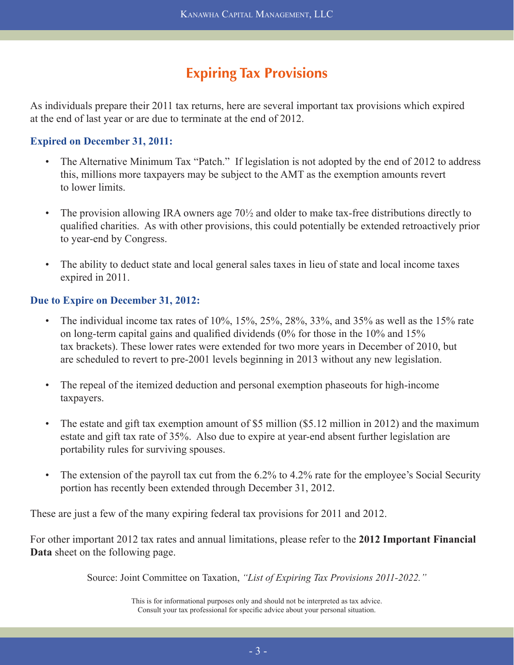## **Expiring Tax Provisions**

As individuals prepare their 2011 tax returns, here are several important tax provisions which expired at the end of last year or are due to terminate at the end of 2012.

#### **Expired on December 31, 2011:**

- The Alternative Minimum Tax "Patch." If legislation is not adopted by the end of 2012 to address this, millions more taxpayers may be subject to the AMT as the exemption amounts revert to lower limits.
- The provision allowing IRA owners age 70½ and older to make tax-free distributions directly to qualified charities. As with other provisions, this could potentially be extended retroactively prior to year-end by Congress.
- The ability to deduct state and local general sales taxes in lieu of state and local income taxes expired in 2011.

#### **Due to Expire on December 31, 2012:**

- The individual income tax rates of  $10\%$ ,  $15\%$ ,  $25\%$ ,  $28\%$ ,  $33\%$ , and  $35\%$  as well as the 15% rate on long-term capital gains and qualified dividends  $(0\%$  for those in the  $10\%$  and  $15\%$  tax brackets). These lower rates were extended for two more years in December of 2010, but are scheduled to revert to pre-2001 levels beginning in 2013 without any new legislation.
- The repeal of the itemized deduction and personal exemption phaseouts for high-income taxpayers.
- The estate and gift tax exemption amount of \$5 million (\$5.12 million in 2012) and the maximum estate and gift tax rate of 35%. Also due to expire at year-end absent further legislation are portability rules for surviving spouses.
- The extension of the payroll tax cut from the 6.2% to 4.2% rate for the employee's Social Security portion has recently been extended through December 31, 2012.

These are just a few of the many expiring federal tax provisions for 2011 and 2012.

For other important 2012 tax rates and annual limitations, please refer to the **2012 Important Financial Data** sheet on the following page.

Source: Joint Committee on Taxation, *"List of Expiring Tax Provisions 2011-2022."*

This is for informational purposes only and should not be interpreted as tax advice. Consult your tax professional for specific advice about your personal situation.